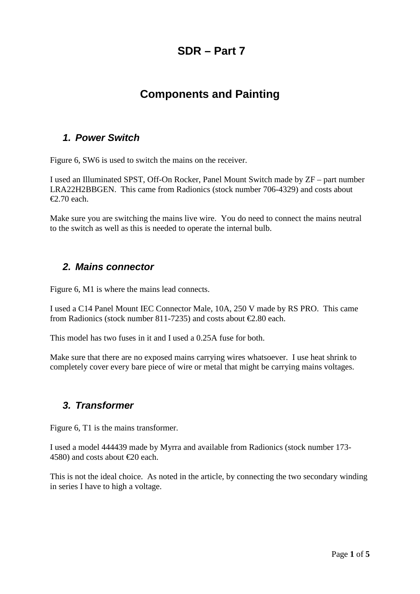## **SDR – Part 7**

# **Components and Painting**

#### *1. Power Switch*

Figure 6, SW6 is used to switch the mains on the receiver.

I used an Illuminated SPST, Off-On Rocker, Panel Mount Switch made by ZF – part number LRA22H2BBGEN. This came from Radionics (stock number 706-4329) and costs about €2.70 each.

Make sure you are switching the mains live wire. You do need to connect the mains neutral to the switch as well as this is needed to operate the internal bulb.

#### *2. Mains connector*

Figure 6, M1 is where the mains lead connects.

I used a C14 Panel Mount IEC Connector Male, 10A, 250 V made by RS PRO. This came from Radionics (stock number 811-7235) and costs about  $\epsilon$ 2.80 each.

This model has two fuses in it and I used a 0.25A fuse for both.

Make sure that there are no exposed mains carrying wires whatsoever. I use heat shrink to completely cover every bare piece of wire or metal that might be carrying mains voltages.

#### *3. Transformer*

Figure 6, T1 is the mains transformer.

I used a model 444439 made by Myrra and available from Radionics (stock number 173- 4580) and costs about €20 each.

This is not the ideal choice. As noted in the article, by connecting the two secondary winding in series I have to high a voltage.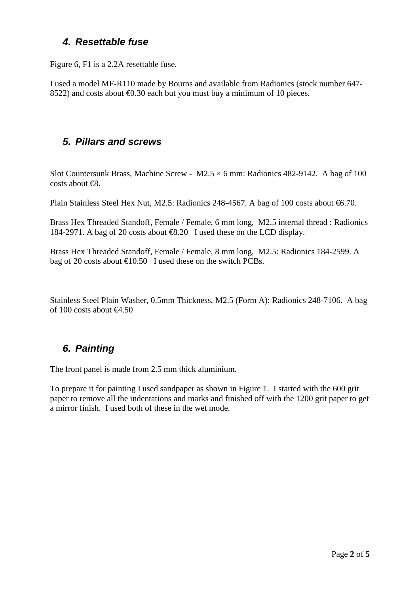#### *4. Resettable fuse*

Figure 6, F1 is a 2.2A resettable fuse.

I used a model MF-R110 made by Bourns and available from Radionics (stock number 647- 8522) and costs about **€0.30** each but you must buy a minimum of 10 pieces.

### *5. Pillars and screws*

Slot Countersunk Brass, Machine Screw -  $M2.5 \times 6$  mm: Radionics 482-9142. A bag of 100 costs about  $\bigoplus$ .

Plain Stainless Steel Hex Nut, M2.5: Radionics 248-4567. A bag of 100 costs about €6.70.

Brass Hex Threaded Standoff, Female / Female, 6 mm long, M2.5 internal thread : Radionics 184-2971. A bag of 20 costs about €8.20 I used these on the LCD display.

Brass Hex Threaded Standoff, Female / Female, 8 mm long, M2.5: Radionics 184-2599. A bag of 20 costs about  $\text{\textsterling}0.50$  I used these on the switch PCBs.

Stainless Steel Plain Washer, 0.5mm Thickness, M2.5 (Form A): Radionics 248-7106. A bag of 100 costs about  $\epsilon$ 4.50

### *6. Painting*

The front panel is made from 2.5 mm thick aluminium.

To prepare it for painting I used sandpaper as shown in [Figure 1.](#page-2-0) I started with the 600 grit paper to remove all the indentations and marks and finished off with the 1200 grit paper to get a mirror finish. I used both of these in the wet mode.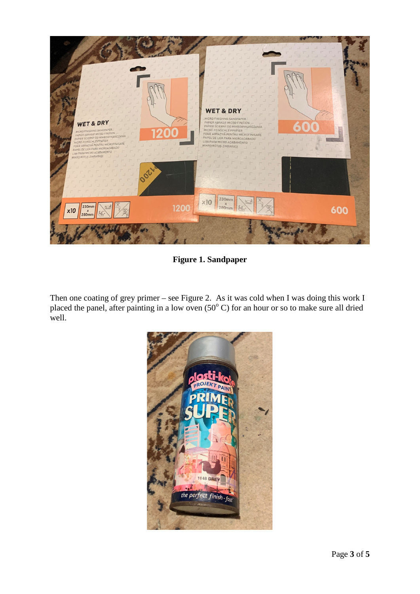

**Figure 1. Sandpaper**

<span id="page-2-0"></span>Then one coating of grey primer – see [Figure 2.](#page-3-0) As it was cold when I was doing this work I placed the panel, after painting in a low oven  $(50^{\circ}$  C) for an hour or so to make sure all dried well.

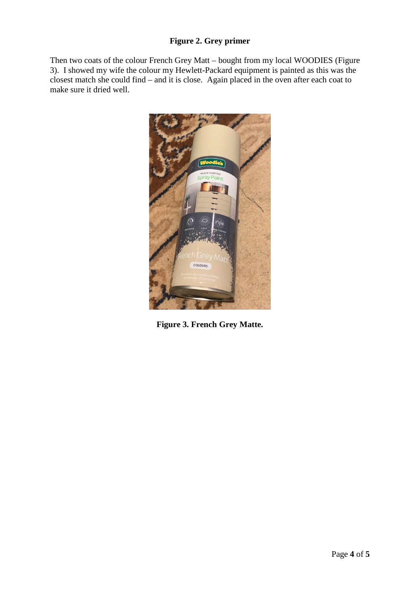#### **Figure 2. Grey primer**

<span id="page-3-0"></span>Then two coats of the colour French Grey Matt – bought from my local WOODIES [\(Figure](#page-3-1)  [3\)](#page-3-1). I showed my wife the colour my Hewlett-Packard equipment is painted as this was the closest match she could find – and it is close. Again placed in the oven after each coat to make sure it dried well.

<span id="page-3-1"></span>

**Figure 3. French Grey Matte.**